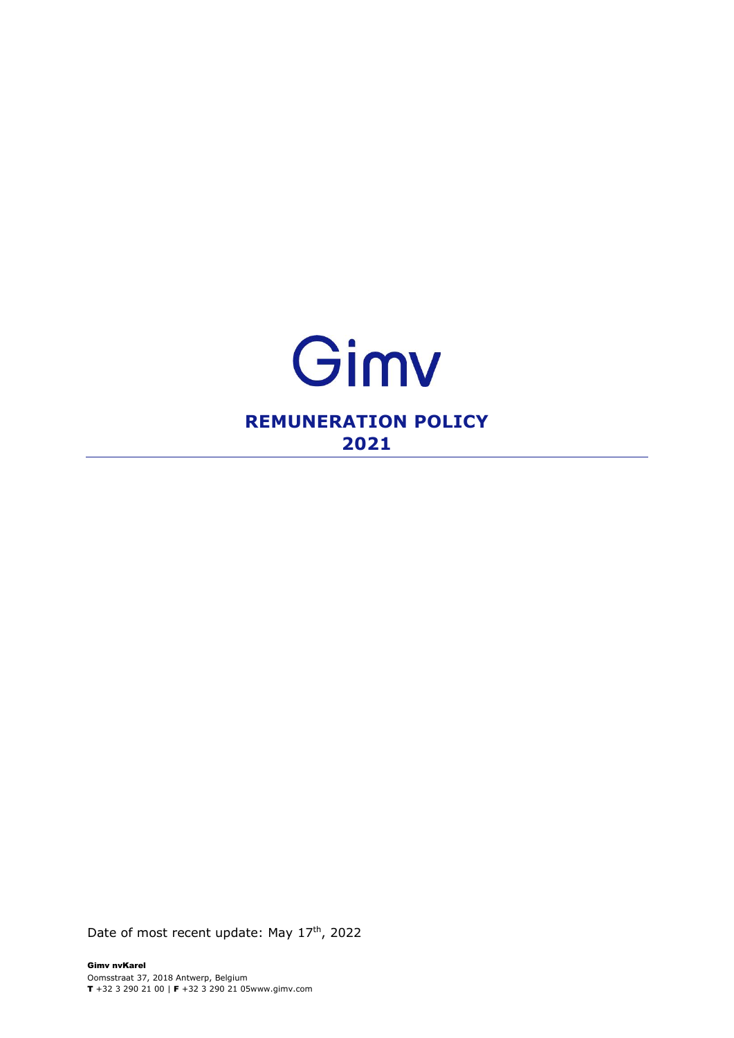

Date of most recent update: May 17<sup>th</sup>, 2022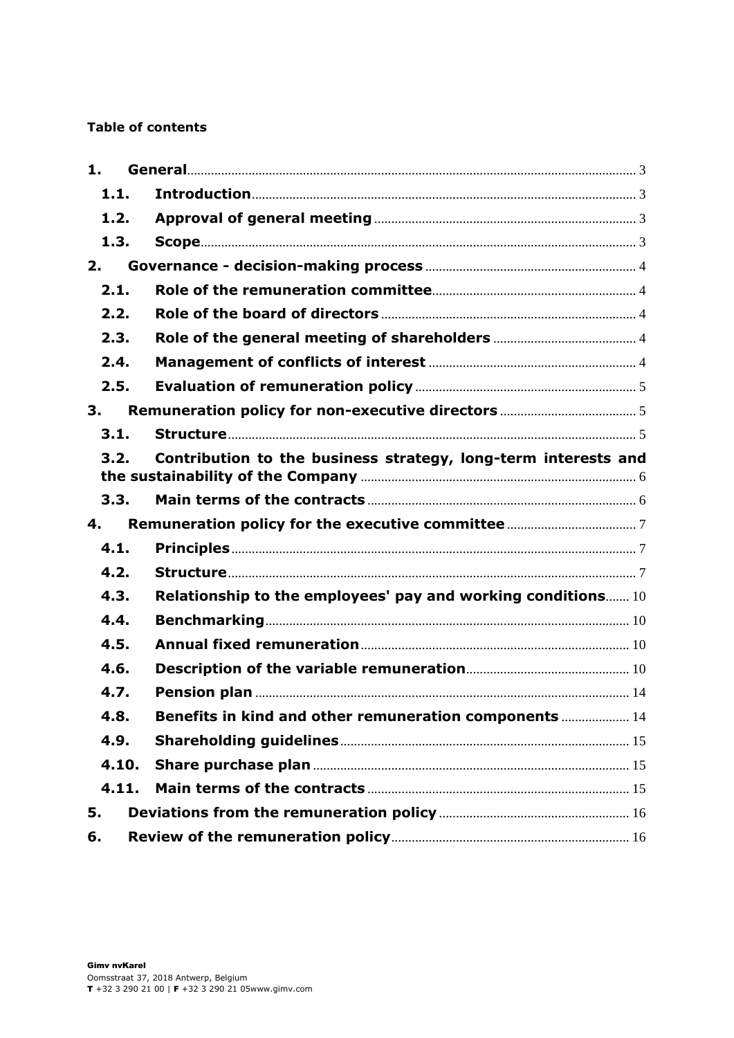#### **Table of contents**

| 1.    |                                                                |  |
|-------|----------------------------------------------------------------|--|
| 1.1.  |                                                                |  |
| 1.2.  |                                                                |  |
| 1.3.  |                                                                |  |
| 2.    |                                                                |  |
| 2.1.  |                                                                |  |
| 2.2.  |                                                                |  |
| 2.3.  |                                                                |  |
| 2.4.  |                                                                |  |
| 2.5.  |                                                                |  |
| 3.    |                                                                |  |
| 3.1.  |                                                                |  |
| 3.2.  | Contribution to the business strategy, long-term interests and |  |
| 3.3.  |                                                                |  |
| 4.    |                                                                |  |
| 4.1.  |                                                                |  |
| 4.2.  |                                                                |  |
| 4.3.  | Relationship to the employees' pay and working conditions 10   |  |
| 4.4.  |                                                                |  |
| 4.5.  |                                                                |  |
| 4.6.  |                                                                |  |
| 4.7.  |                                                                |  |
| 4.8.  | Benefits in kind and other remuneration components  14         |  |
| 4.9.  |                                                                |  |
| 4.10. |                                                                |  |
| 4.11. |                                                                |  |
| 5.    |                                                                |  |
| 6.    |                                                                |  |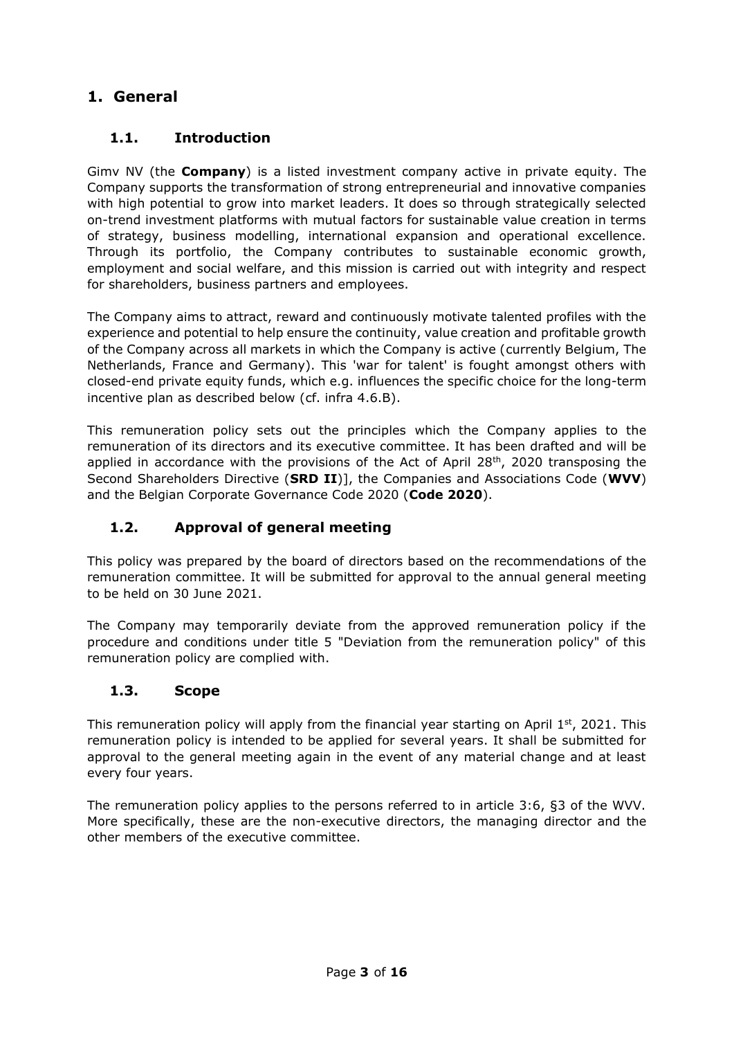# <span id="page-2-0"></span>**1. General**

## <span id="page-2-1"></span>**1.1. Introduction**

Gimv NV (the **Company**) is a listed investment company active in private equity. The Company supports the transformation of strong entrepreneurial and innovative companies with high potential to grow into market leaders. It does so through strategically selected on-trend investment platforms with mutual factors for sustainable value creation in terms of strategy, business modelling, international expansion and operational excellence. Through its portfolio, the Company contributes to sustainable economic growth, employment and social welfare, and this mission is carried out with integrity and respect for shareholders, business partners and employees.

The Company aims to attract, reward and continuously motivate talented profiles with the experience and potential to help ensure the continuity, value creation and profitable growth of the Company across all markets in which the Company is active (currently Belgium, The Netherlands, France and Germany). This 'war for talent' is fought amongst others with closed-end private equity funds, which e.g. influences the specific choice for the long-term incentive plan as described below (cf. infra 4.6.B).

This remuneration policy sets out the principles which the Company applies to the remuneration of its directors and its executive committee. It has been drafted and will be applied in accordance with the provisions of the Act of April  $28<sup>th</sup>$ , 2020 transposing the Second Shareholders Directive (**SRD II**)], the Companies and Associations Code (**WVV**) and the Belgian Corporate Governance Code 2020 (**Code 2020**).

## <span id="page-2-2"></span>**1.2. Approval of general meeting**

This policy was prepared by the board of directors based on the recommendations of the remuneration committee. It will be submitted for approval to the annual general meeting to be held on 30 June 2021.

The Company may temporarily deviate from the approved remuneration policy if the procedure and conditions under title 5 "Deviation from the remuneration policy" of this remuneration policy are complied with.

## <span id="page-2-3"></span>**1.3. Scope**

This remuneration policy will apply from the financial year starting on April  $1<sup>st</sup>$ , 2021. This remuneration policy is intended to be applied for several years. It shall be submitted for approval to the general meeting again in the event of any material change and at least every four years.

The remuneration policy applies to the persons referred to in article 3:6, §3 of the WVV. More specifically, these are the non-executive directors, the managing director and the other members of the executive committee.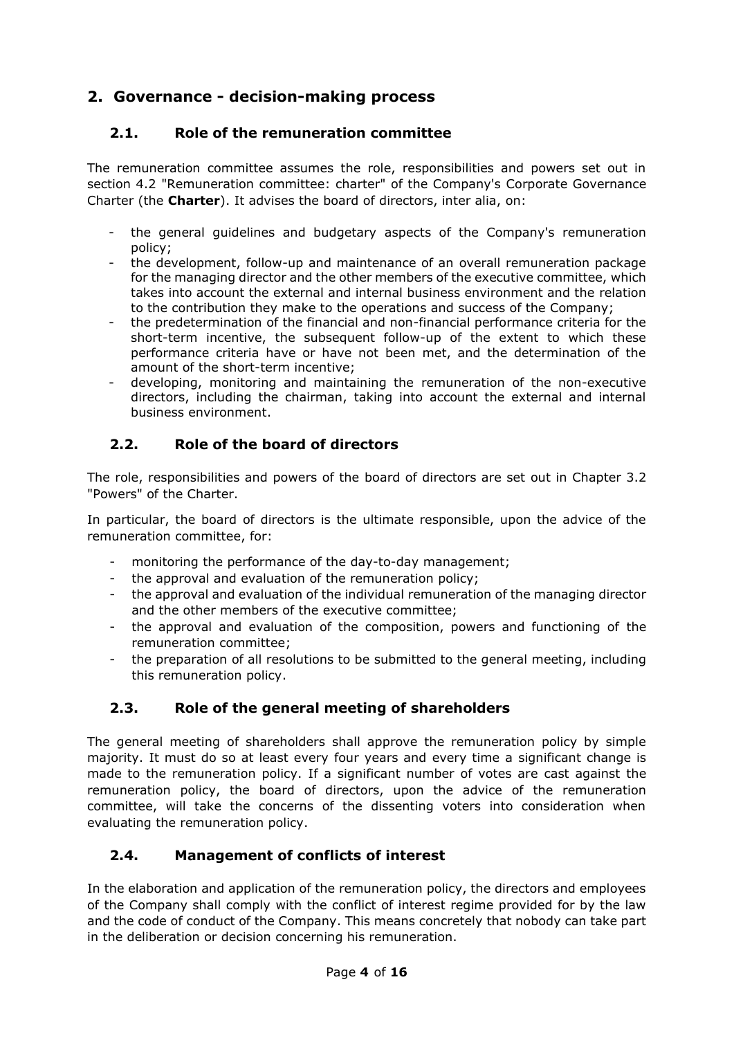# <span id="page-3-0"></span>**2. Governance - decision-making process**

## <span id="page-3-1"></span>**2.1. Role of the remuneration committee**

The remuneration committee assumes the role, responsibilities and powers set out in section 4.2 "Remuneration committee: charter" of the Company's Corporate Governance Charter (the **Charter**). It advises the board of directors, inter alia, on:

- the general guidelines and budgetary aspects of the Company's remuneration policy;
- the development, follow-up and maintenance of an overall remuneration package for the managing director and the other members of the executive committee, which takes into account the external and internal business environment and the relation to the contribution they make to the operations and success of the Company;
- the predetermination of the financial and non-financial performance criteria for the short-term incentive, the subsequent follow-up of the extent to which these performance criteria have or have not been met, and the determination of the amount of the short-term incentive;
- developing, monitoring and maintaining the remuneration of the non-executive directors, including the chairman, taking into account the external and internal business environment.

## <span id="page-3-2"></span>**2.2. Role of the board of directors**

The role, responsibilities and powers of the board of directors are set out in Chapter 3.2 "Powers" of the Charter.

In particular, the board of directors is the ultimate responsible, upon the advice of the remuneration committee, for:

- monitoring the performance of the day-to-day management;
- the approval and evaluation of the remuneration policy;
- the approval and evaluation of the individual remuneration of the managing director and the other members of the executive committee;
- the approval and evaluation of the composition, powers and functioning of the remuneration committee;
- the preparation of all resolutions to be submitted to the general meeting, including this remuneration policy.

## <span id="page-3-3"></span>**2.3. Role of the general meeting of shareholders**

The general meeting of shareholders shall approve the remuneration policy by simple majority. It must do so at least every four years and every time a significant change is made to the remuneration policy. If a significant number of votes are cast against the remuneration policy, the board of directors, upon the advice of the remuneration committee, will take the concerns of the dissenting voters into consideration when evaluating the remuneration policy.

## <span id="page-3-4"></span>**2.4. Management of conflicts of interest**

In the elaboration and application of the remuneration policy, the directors and employees of the Company shall comply with the conflict of interest regime provided for by the law and the code of conduct of the Company. This means concretely that nobody can take part in the deliberation or decision concerning his remuneration.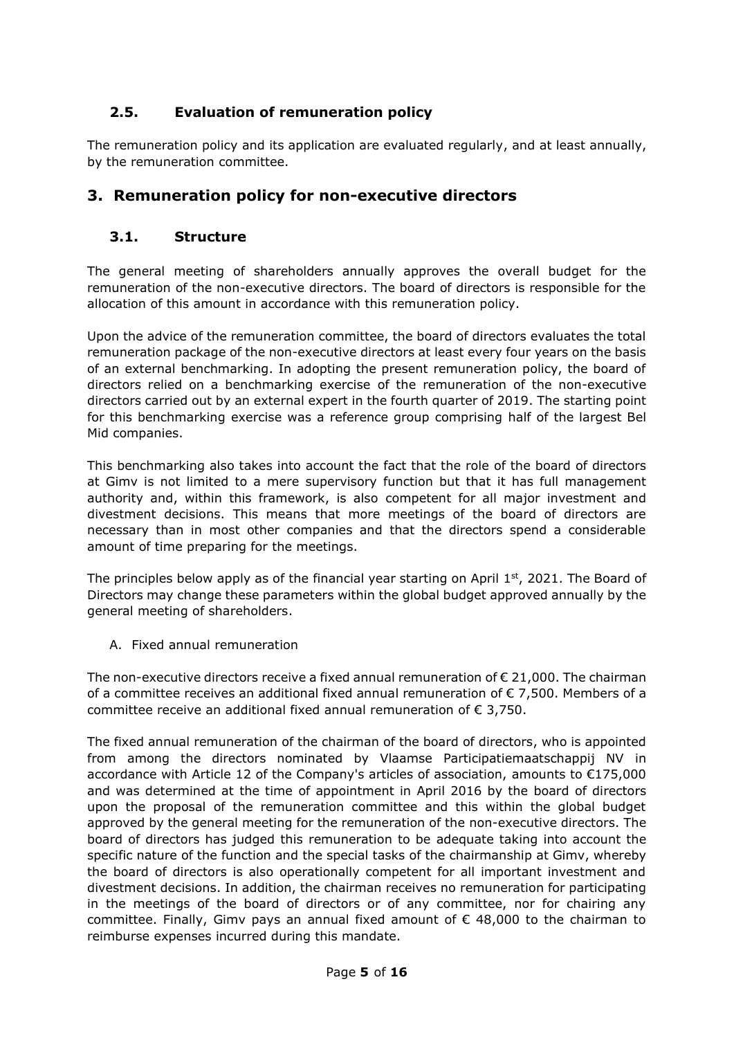# <span id="page-4-0"></span>**2.5. Evaluation of remuneration policy**

The remuneration policy and its application are evaluated regularly, and at least annually, by the remuneration committee.

## <span id="page-4-1"></span>**3. Remuneration policy for non-executive directors**

### <span id="page-4-2"></span>**3.1. Structure**

The general meeting of shareholders annually approves the overall budget for the remuneration of the non-executive directors. The board of directors is responsible for the allocation of this amount in accordance with this remuneration policy.

Upon the advice of the remuneration committee, the board of directors evaluates the total remuneration package of the non-executive directors at least every four years on the basis of an external benchmarking. In adopting the present remuneration policy, the board of directors relied on a benchmarking exercise of the remuneration of the non-executive directors carried out by an external expert in the fourth quarter of 2019. The starting point for this benchmarking exercise was a reference group comprising half of the largest Bel Mid companies.

This benchmarking also takes into account the fact that the role of the board of directors at Gimv is not limited to a mere supervisory function but that it has full management authority and, within this framework, is also competent for all major investment and divestment decisions. This means that more meetings of the board of directors are necessary than in most other companies and that the directors spend a considerable amount of time preparing for the meetings.

The principles below apply as of the financial year starting on April 1st, 2021. The Board of Directors may change these parameters within the global budget approved annually by the general meeting of shareholders.

A. Fixed annual remuneration

The non-executive directors receive a fixed annual remuneration of  $\epsilon$  21,000. The chairman of a committee receives an additional fixed annual remuneration of  $\epsilon$  7,500. Members of a committee receive an additional fixed annual remuneration of € 3,750.

The fixed annual remuneration of the chairman of the board of directors, who is appointed from among the directors nominated by Vlaamse Participatiemaatschappij NV in accordance with Article 12 of the Company's articles of association, amounts to €175,000 and was determined at the time of appointment in April 2016 by the board of directors upon the proposal of the remuneration committee and this within the global budget approved by the general meeting for the remuneration of the non-executive directors. The board of directors has judged this remuneration to be adequate taking into account the specific nature of the function and the special tasks of the chairmanship at Gimv, whereby the board of directors is also operationally competent for all important investment and divestment decisions. In addition, the chairman receives no remuneration for participating in the meetings of the board of directors or of any committee, nor for chairing any committee. Finally, Gimv pays an annual fixed amount of  $\epsilon$  48,000 to the chairman to reimburse expenses incurred during this mandate.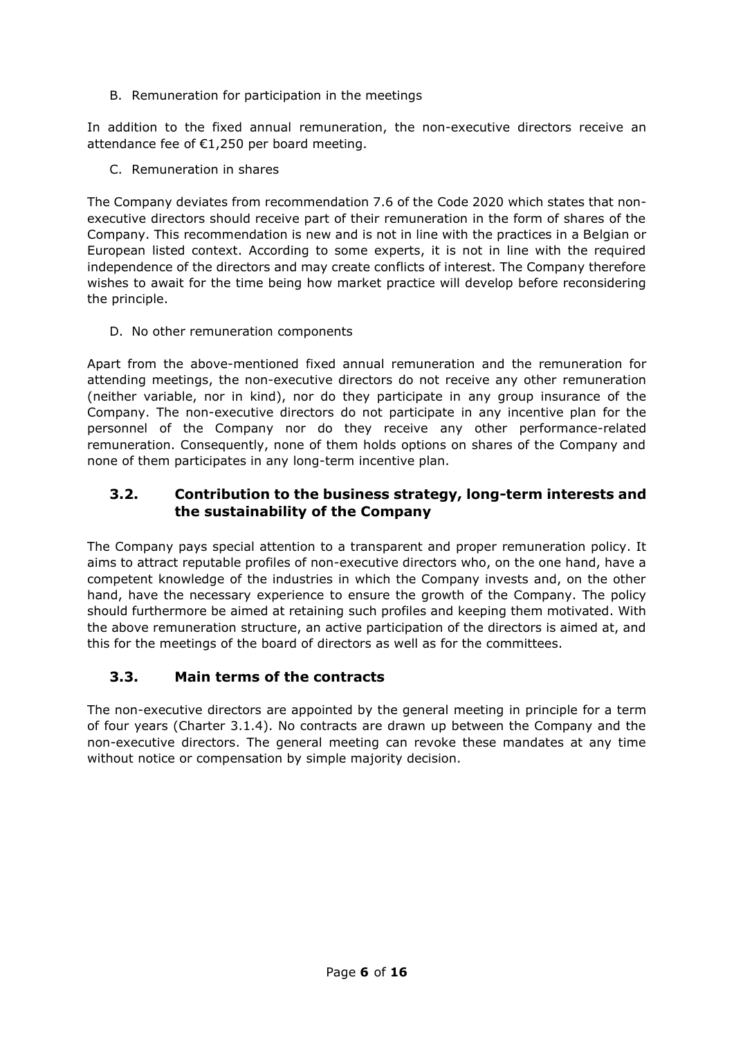B. Remuneration for participation in the meetings

In addition to the fixed annual remuneration, the non-executive directors receive an attendance fee of €1,250 per board meeting.

C. Remuneration in shares

The Company deviates from recommendation 7.6 of the Code 2020 which states that nonexecutive directors should receive part of their remuneration in the form of shares of the Company. This recommendation is new and is not in line with the practices in a Belgian or European listed context. According to some experts, it is not in line with the required independence of the directors and may create conflicts of interest. The Company therefore wishes to await for the time being how market practice will develop before reconsidering the principle.

D. No other remuneration components

Apart from the above-mentioned fixed annual remuneration and the remuneration for attending meetings, the non-executive directors do not receive any other remuneration (neither variable, nor in kind), nor do they participate in any group insurance of the Company. The non-executive directors do not participate in any incentive plan for the personnel of the Company nor do they receive any other performance-related remuneration. Consequently, none of them holds options on shares of the Company and none of them participates in any long-term incentive plan.

### <span id="page-5-0"></span>**3.2. Contribution to the business strategy, long-term interests and the sustainability of the Company**

The Company pays special attention to a transparent and proper remuneration policy. It aims to attract reputable profiles of non-executive directors who, on the one hand, have a competent knowledge of the industries in which the Company invests and, on the other hand, have the necessary experience to ensure the growth of the Company. The policy should furthermore be aimed at retaining such profiles and keeping them motivated. With the above remuneration structure, an active participation of the directors is aimed at, and this for the meetings of the board of directors as well as for the committees.

## <span id="page-5-1"></span>**3.3. Main terms of the contracts**

The non-executive directors are appointed by the general meeting in principle for a term of four years (Charter 3.1.4). No contracts are drawn up between the Company and the non-executive directors. The general meeting can revoke these mandates at any time without notice or compensation by simple majority decision.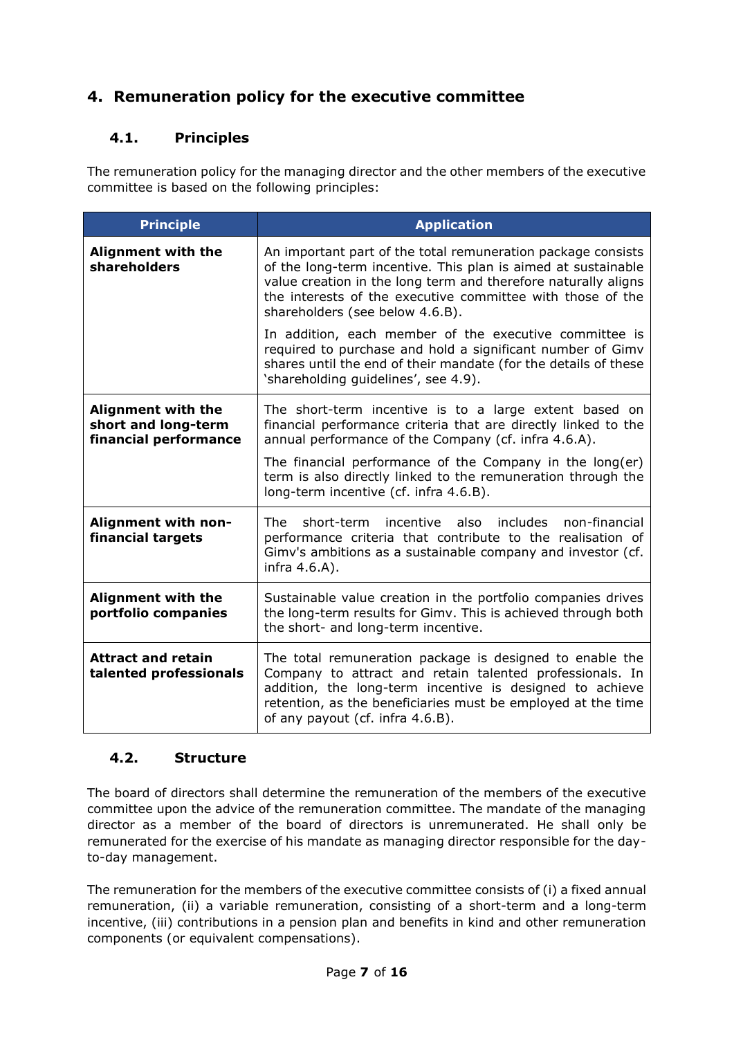# <span id="page-6-0"></span>**4. Remuneration policy for the executive committee**

## <span id="page-6-1"></span>**4.1. Principles**

The remuneration policy for the managing director and the other members of the executive committee is based on the following principles:

| <b>Principle</b>                                                          | <b>Application</b>                                                                                                                                                                                                                                                                                                                                     |
|---------------------------------------------------------------------------|--------------------------------------------------------------------------------------------------------------------------------------------------------------------------------------------------------------------------------------------------------------------------------------------------------------------------------------------------------|
| <b>Alignment with the</b><br>shareholders                                 | An important part of the total remuneration package consists<br>of the long-term incentive. This plan is aimed at sustainable<br>value creation in the long term and therefore naturally aligns<br>the interests of the executive committee with those of the<br>shareholders (see below 4.6.B).                                                       |
|                                                                           | In addition, each member of the executive committee is<br>required to purchase and hold a significant number of Gimv<br>shares until the end of their mandate (for the details of these<br>'shareholding guidelines', see 4.9).                                                                                                                        |
| <b>Alignment with the</b><br>short and long-term<br>financial performance | The short-term incentive is to a large extent based on<br>financial performance criteria that are directly linked to the<br>annual performance of the Company (cf. infra 4.6.A).<br>The financial performance of the Company in the long(er)<br>term is also directly linked to the remuneration through the<br>long-term incentive (cf. infra 4.6.B). |
| Alignment with non-<br>financial targets                                  | non-financial<br>short-term<br>incentive also<br>includes<br>The l<br>performance criteria that contribute to the realisation of<br>Gimv's ambitions as a sustainable company and investor (cf.<br>infra 4.6.A).                                                                                                                                       |
| <b>Alignment with the</b><br>portfolio companies                          | Sustainable value creation in the portfolio companies drives<br>the long-term results for Gimv. This is achieved through both<br>the short- and long-term incentive.                                                                                                                                                                                   |
| <b>Attract and retain</b><br>talented professionals                       | The total remuneration package is designed to enable the<br>Company to attract and retain talented professionals. In<br>addition, the long-term incentive is designed to achieve<br>retention, as the beneficiaries must be employed at the time<br>of any payout (cf. infra 4.6.B).                                                                   |

#### <span id="page-6-2"></span>**4.2. Structure**

The board of directors shall determine the remuneration of the members of the executive committee upon the advice of the remuneration committee. The mandate of the managing director as a member of the board of directors is unremunerated. He shall only be remunerated for the exercise of his mandate as managing director responsible for the dayto-day management.

The remuneration for the members of the executive committee consists of (i) a fixed annual remuneration, (ii) a variable remuneration, consisting of a short-term and a long-term incentive, (iii) contributions in a pension plan and benefits in kind and other remuneration components (or equivalent compensations).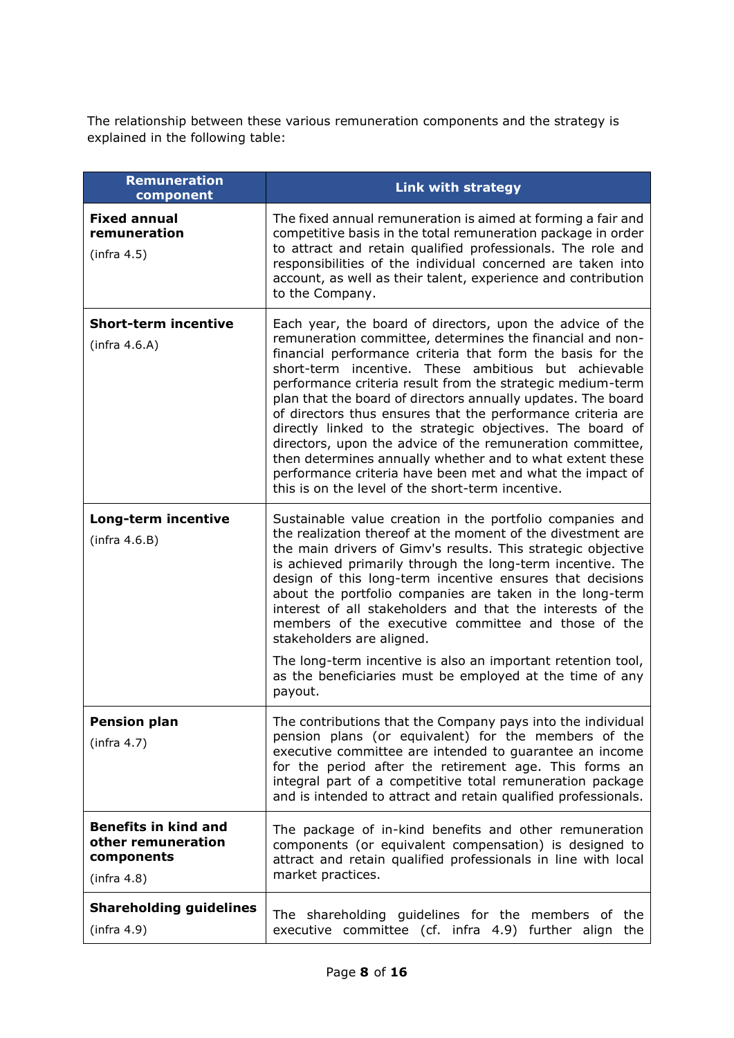The relationship between these various remuneration components and the strategy is explained in the following table:

| Remuneration<br>component                                                      | <b>Link with strategy</b>                                                                                                                                                                                                                                                                                                                                                                                                                                                                                                                                                                                                                                                                                                                          |
|--------------------------------------------------------------------------------|----------------------------------------------------------------------------------------------------------------------------------------------------------------------------------------------------------------------------------------------------------------------------------------------------------------------------------------------------------------------------------------------------------------------------------------------------------------------------------------------------------------------------------------------------------------------------------------------------------------------------------------------------------------------------------------------------------------------------------------------------|
| <b>Fixed annual</b><br>remuneration<br>(infra 4.5)                             | The fixed annual remuneration is aimed at forming a fair and<br>competitive basis in the total remuneration package in order<br>to attract and retain qualified professionals. The role and<br>responsibilities of the individual concerned are taken into<br>account, as well as their talent, experience and contribution<br>to the Company.                                                                                                                                                                                                                                                                                                                                                                                                     |
| <b>Short-term incentive</b><br>(infra 4.6.A)                                   | Each year, the board of directors, upon the advice of the<br>remuneration committee, determines the financial and non-<br>financial performance criteria that form the basis for the<br>short-term incentive. These ambitious but achievable<br>performance criteria result from the strategic medium-term<br>plan that the board of directors annually updates. The board<br>of directors thus ensures that the performance criteria are<br>directly linked to the strategic objectives. The board of<br>directors, upon the advice of the remuneration committee,<br>then determines annually whether and to what extent these<br>performance criteria have been met and what the impact of<br>this is on the level of the short-term incentive. |
| Long-term incentive<br>(infra 4.6.B)                                           | Sustainable value creation in the portfolio companies and<br>the realization thereof at the moment of the divestment are<br>the main drivers of Gimv's results. This strategic objective<br>is achieved primarily through the long-term incentive. The<br>design of this long-term incentive ensures that decisions<br>about the portfolio companies are taken in the long-term<br>interest of all stakeholders and that the interests of the<br>members of the executive committee and those of the<br>stakeholders are aligned.<br>The long-term incentive is also an important retention tool,                                                                                                                                                  |
|                                                                                | as the beneficiaries must be employed at the time of any<br>payout.                                                                                                                                                                                                                                                                                                                                                                                                                                                                                                                                                                                                                                                                                |
| <b>Pension plan</b><br>(infra 4.7)                                             | The contributions that the Company pays into the individual<br>pension plans (or equivalent) for the members of the<br>executive committee are intended to quarantee an income<br>for the period after the retirement age. This forms an<br>integral part of a competitive total remuneration package<br>and is intended to attract and retain qualified professionals.                                                                                                                                                                                                                                                                                                                                                                            |
| <b>Benefits in kind and</b><br>other remuneration<br>components<br>(infra 4.8) | The package of in-kind benefits and other remuneration<br>components (or equivalent compensation) is designed to<br>attract and retain qualified professionals in line with local<br>market practices.                                                                                                                                                                                                                                                                                                                                                                                                                                                                                                                                             |
| <b>Shareholding guidelines</b><br>(infra 4.9)                                  | The shareholding guidelines for the members of the<br>executive committee (cf. infra 4.9) further align the                                                                                                                                                                                                                                                                                                                                                                                                                                                                                                                                                                                                                                        |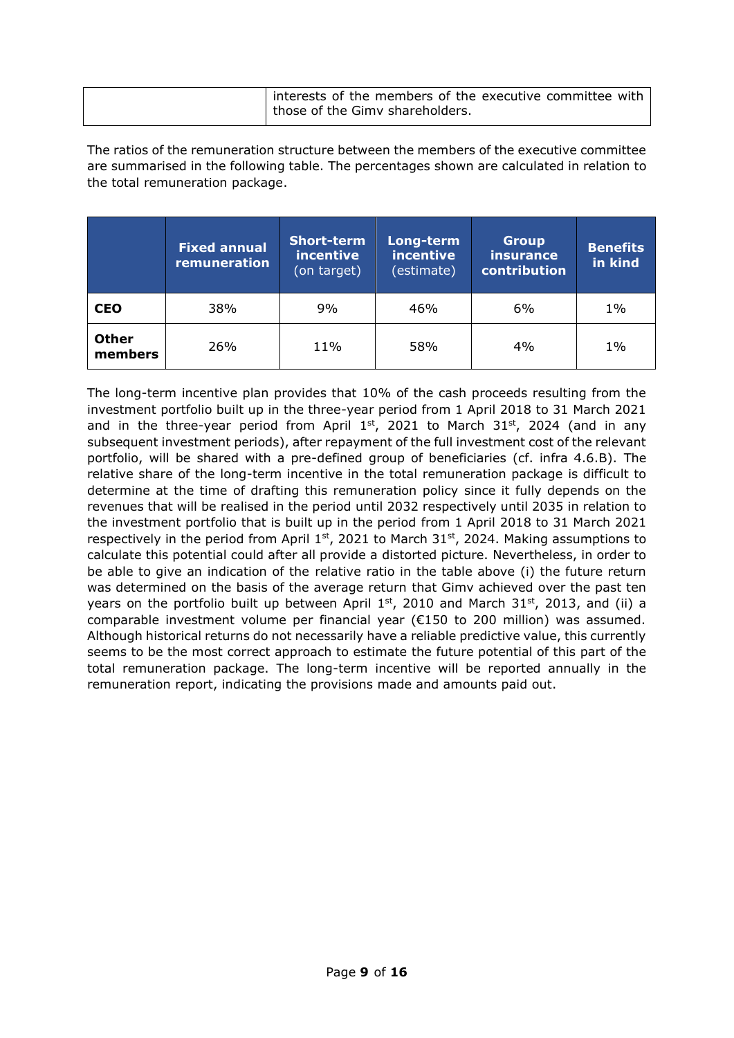| I interests of the members of the executive committee with |
|------------------------------------------------------------|
| those of the Gimy shareholders.                            |

The ratios of the remuneration structure between the members of the executive committee are summarised in the following table. The percentages shown are calculated in relation to the total remuneration package.

|                         | <b>Fixed annual</b><br>remuneration | <b>Short-term</b><br>incentive<br>(on target) | Long-term<br>incentive<br>(estimate) | <b>Group</b><br>insurance<br>contribution | <b>Benefits</b><br>in kind |
|-------------------------|-------------------------------------|-----------------------------------------------|--------------------------------------|-------------------------------------------|----------------------------|
| <b>CEO</b>              | 38%                                 | 9%                                            | 46%                                  | 6%                                        | $1\%$                      |
| <b>Other</b><br>members | 26%                                 | 11%                                           | 58%                                  | 4%                                        | $1\%$                      |

The long-term incentive plan provides that 10% of the cash proceeds resulting from the investment portfolio built up in the three-year period from 1 April 2018 to 31 March 2021 and in the three-year period from April  $1<sup>st</sup>$ , 2021 to March 31 $<sup>st</sup>$ , 2024 (and in any</sup> subsequent investment periods), after repayment of the full investment cost of the relevant portfolio, will be shared with a pre-defined group of beneficiaries (cf. infra 4.6.B). The relative share of the long-term incentive in the total remuneration package is difficult to determine at the time of drafting this remuneration policy since it fully depends on the revenues that will be realised in the period until 2032 respectively until 2035 in relation to the investment portfolio that is built up in the period from 1 April 2018 to 31 March 2021 respectively in the period from April  $1<sup>st</sup>$ , 2021 to March 31<sup>st</sup>, 2024. Making assumptions to calculate this potential could after all provide a distorted picture. Nevertheless, in order to be able to give an indication of the relative ratio in the table above (i) the future return was determined on the basis of the average return that Gimv achieved over the past ten years on the portfolio built up between April  $1<sup>st</sup>$ , 2010 and March 31<sup>st</sup>, 2013, and (ii) a comparable investment volume per financial year ( $E150$  to 200 million) was assumed. Although historical returns do not necessarily have a reliable predictive value, this currently seems to be the most correct approach to estimate the future potential of this part of the total remuneration package. The long-term incentive will be reported annually in the remuneration report, indicating the provisions made and amounts paid out.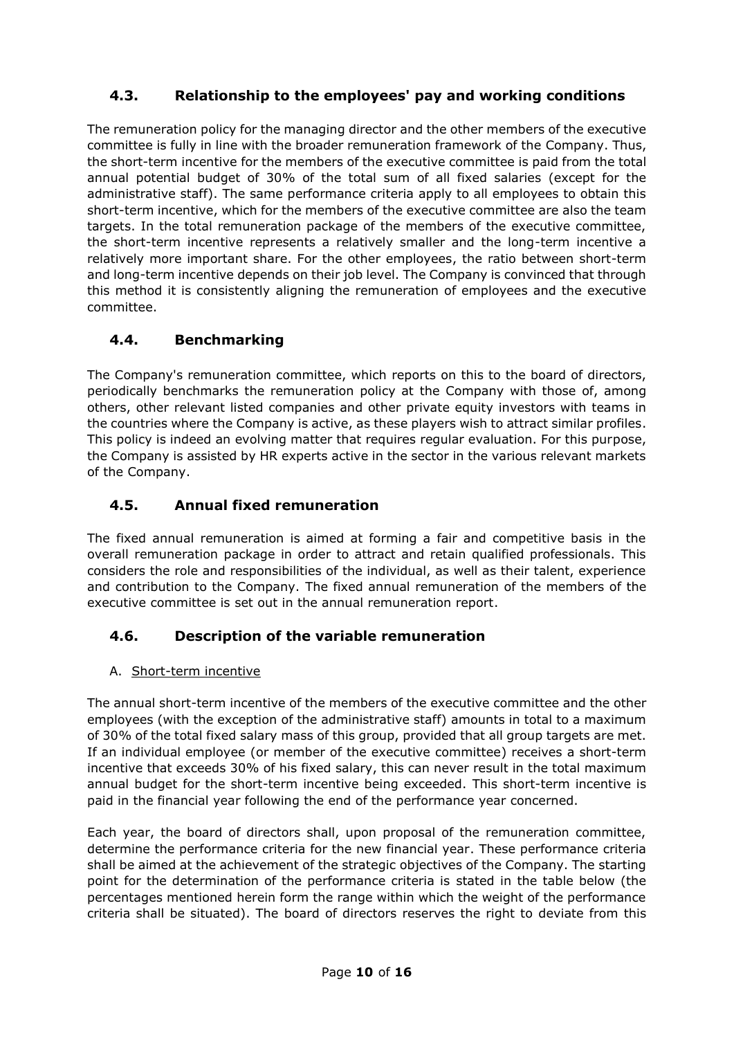## <span id="page-9-0"></span>**4.3. Relationship to the employees' pay and working conditions**

The remuneration policy for the managing director and the other members of the executive committee is fully in line with the broader remuneration framework of the Company. Thus, the short-term incentive for the members of the executive committee is paid from the total annual potential budget of 30% of the total sum of all fixed salaries (except for the administrative staff). The same performance criteria apply to all employees to obtain this short-term incentive, which for the members of the executive committee are also the team targets. In the total remuneration package of the members of the executive committee, the short-term incentive represents a relatively smaller and the long-term incentive a relatively more important share. For the other employees, the ratio between short-term and long-term incentive depends on their job level. The Company is convinced that through this method it is consistently aligning the remuneration of employees and the executive committee.

### <span id="page-9-1"></span>**4.4. Benchmarking**

The Company's remuneration committee, which reports on this to the board of directors, periodically benchmarks the remuneration policy at the Company with those of, among others, other relevant listed companies and other private equity investors with teams in the countries where the Company is active, as these players wish to attract similar profiles. This policy is indeed an evolving matter that requires regular evaluation. For this purpose, the Company is assisted by HR experts active in the sector in the various relevant markets of the Company.

## <span id="page-9-2"></span>**4.5. Annual fixed remuneration**

The fixed annual remuneration is aimed at forming a fair and competitive basis in the overall remuneration package in order to attract and retain qualified professionals. This considers the role and responsibilities of the individual, as well as their talent, experience and contribution to the Company. The fixed annual remuneration of the members of the executive committee is set out in the annual remuneration report.

## <span id="page-9-3"></span>**4.6. Description of the variable remuneration**

#### A. Short-term incentive

The annual short-term incentive of the members of the executive committee and the other employees (with the exception of the administrative staff) amounts in total to a maximum of 30% of the total fixed salary mass of this group, provided that all group targets are met. If an individual employee (or member of the executive committee) receives a short-term incentive that exceeds 30% of his fixed salary, this can never result in the total maximum annual budget for the short-term incentive being exceeded. This short-term incentive is paid in the financial year following the end of the performance year concerned.

Each year, the board of directors shall, upon proposal of the remuneration committee, determine the performance criteria for the new financial year. These performance criteria shall be aimed at the achievement of the strategic objectives of the Company. The starting point for the determination of the performance criteria is stated in the table below (the percentages mentioned herein form the range within which the weight of the performance criteria shall be situated). The board of directors reserves the right to deviate from this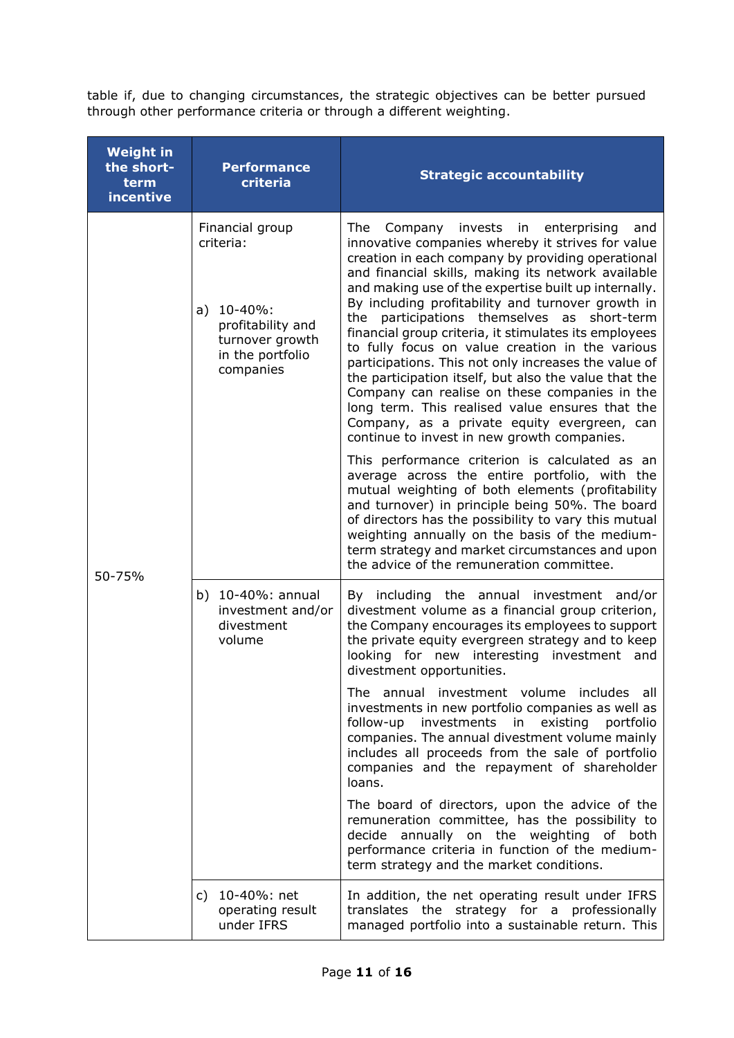table if, due to changing circumstances, the strategic objectives can be better pursued through other performance criteria or through a different weighting.

| <b>Weight in</b><br>the short-<br>term<br>incentive | <b>Performance</b><br>criteria                                                                                          | <b>Strategic accountability</b>                                                                                                                                                                                                                                                                                                                                                                                                                                                                                                                                                                                                                                                                                                                                                                                                                                                                                                                                                                                                                                                                                                                                                                                                    |
|-----------------------------------------------------|-------------------------------------------------------------------------------------------------------------------------|------------------------------------------------------------------------------------------------------------------------------------------------------------------------------------------------------------------------------------------------------------------------------------------------------------------------------------------------------------------------------------------------------------------------------------------------------------------------------------------------------------------------------------------------------------------------------------------------------------------------------------------------------------------------------------------------------------------------------------------------------------------------------------------------------------------------------------------------------------------------------------------------------------------------------------------------------------------------------------------------------------------------------------------------------------------------------------------------------------------------------------------------------------------------------------------------------------------------------------|
| 50-75%                                              | Financial group<br>criteria:<br>a) $10-40\%$ :<br>profitability and<br>turnover growth<br>in the portfolio<br>companies | The<br>invests in<br>enterprising<br>Company<br>and<br>innovative companies whereby it strives for value<br>creation in each company by providing operational<br>and financial skills, making its network available<br>and making use of the expertise built up internally.<br>By including profitability and turnover growth in<br>the participations themselves as short-term<br>financial group criteria, it stimulates its employees<br>to fully focus on value creation in the various<br>participations. This not only increases the value of<br>the participation itself, but also the value that the<br>Company can realise on these companies in the<br>long term. This realised value ensures that the<br>Company, as a private equity evergreen, can<br>continue to invest in new growth companies.<br>This performance criterion is calculated as an<br>average across the entire portfolio, with the<br>mutual weighting of both elements (profitability<br>and turnover) in principle being 50%. The board<br>of directors has the possibility to vary this mutual<br>weighting annually on the basis of the medium-<br>term strategy and market circumstances and upon<br>the advice of the remuneration committee. |
|                                                     | b) 10-40%: annual<br>investment and/or<br>divestment<br>volume                                                          | By including the annual investment and/or<br>divestment volume as a financial group criterion,<br>the Company encourages its employees to support<br>the private equity evergreen strategy and to keep<br>looking for new interesting investment<br>and<br>divestment opportunities.                                                                                                                                                                                                                                                                                                                                                                                                                                                                                                                                                                                                                                                                                                                                                                                                                                                                                                                                               |
|                                                     |                                                                                                                         | The annual investment volume includes all<br>investments in new portfolio companies as well as<br>investments in<br>existing<br>follow-up<br>portfolio<br>companies. The annual divestment volume mainly<br>includes all proceeds from the sale of portfolio<br>companies and the repayment of shareholder<br>loans.                                                                                                                                                                                                                                                                                                                                                                                                                                                                                                                                                                                                                                                                                                                                                                                                                                                                                                               |
|                                                     |                                                                                                                         | The board of directors, upon the advice of the<br>remuneration committee, has the possibility to<br>decide annually on the weighting<br>of both<br>performance criteria in function of the medium-<br>term strategy and the market conditions.                                                                                                                                                                                                                                                                                                                                                                                                                                                                                                                                                                                                                                                                                                                                                                                                                                                                                                                                                                                     |
|                                                     | c) 10-40%: net<br>operating result<br>under IFRS                                                                        | In addition, the net operating result under IFRS<br>translates the strategy for a professionally<br>managed portfolio into a sustainable return. This                                                                                                                                                                                                                                                                                                                                                                                                                                                                                                                                                                                                                                                                                                                                                                                                                                                                                                                                                                                                                                                                              |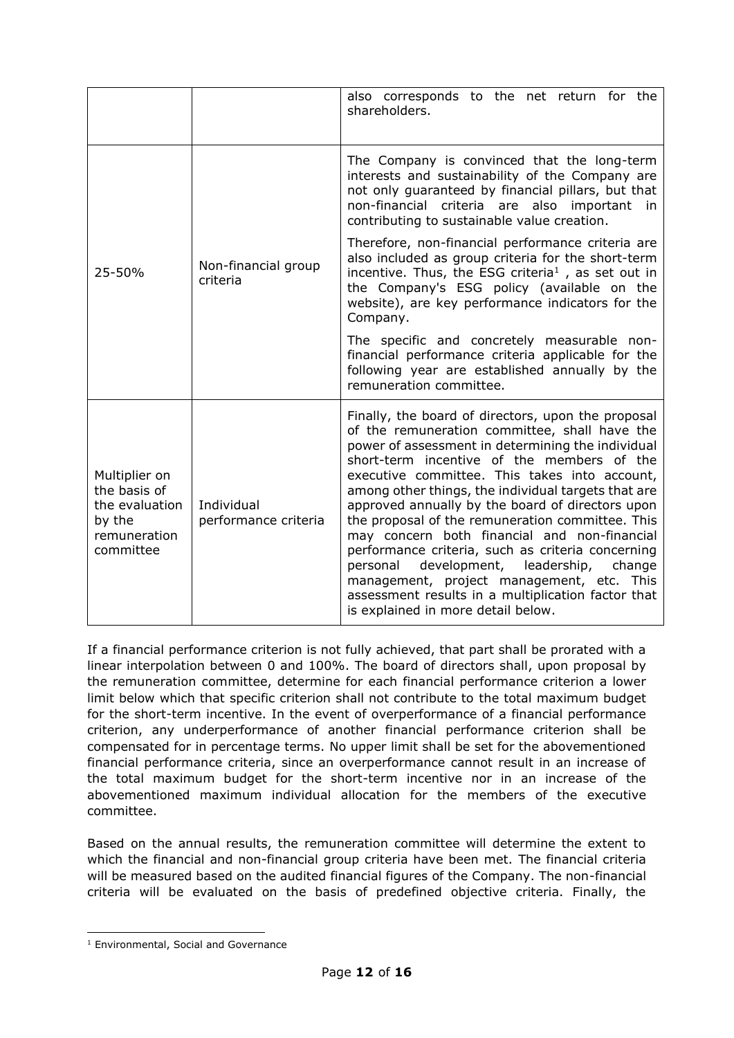|                                                                                        |                                    | also corresponds to the net return for the<br>shareholders.                                                                                                                                                                                                                                                                                                                                                                                                                                                                                                                                                                                                                                                            |
|----------------------------------------------------------------------------------------|------------------------------------|------------------------------------------------------------------------------------------------------------------------------------------------------------------------------------------------------------------------------------------------------------------------------------------------------------------------------------------------------------------------------------------------------------------------------------------------------------------------------------------------------------------------------------------------------------------------------------------------------------------------------------------------------------------------------------------------------------------------|
|                                                                                        | Non-financial group<br>criteria    | The Company is convinced that the long-term<br>interests and sustainability of the Company are<br>not only guaranteed by financial pillars, but that<br>non-financial criteria are also important in<br>contributing to sustainable value creation.                                                                                                                                                                                                                                                                                                                                                                                                                                                                    |
| 25-50%                                                                                 |                                    | Therefore, non-financial performance criteria are<br>also included as group criteria for the short-term<br>incentive. Thus, the ESG criteria <sup>1</sup> , as set out in<br>the Company's ESG policy (available on the<br>website), are key performance indicators for the<br>Company.                                                                                                                                                                                                                                                                                                                                                                                                                                |
|                                                                                        |                                    | The specific and concretely measurable non-<br>financial performance criteria applicable for the<br>following year are established annually by the<br>remuneration committee.                                                                                                                                                                                                                                                                                                                                                                                                                                                                                                                                          |
| Multiplier on<br>the basis of<br>the evaluation<br>by the<br>remuneration<br>committee | Individual<br>performance criteria | Finally, the board of directors, upon the proposal<br>of the remuneration committee, shall have the<br>power of assessment in determining the individual<br>short-term incentive of the members of the<br>executive committee. This takes into account,<br>among other things, the individual targets that are<br>approved annually by the board of directors upon<br>the proposal of the remuneration committee. This<br>may concern both financial and non-financial<br>performance criteria, such as criteria concerning<br>development, leadership,<br>personal<br>change<br>management, project management, etc. This<br>assessment results in a multiplication factor that<br>is explained in more detail below. |

If a financial performance criterion is not fully achieved, that part shall be prorated with a linear interpolation between 0 and 100%. The board of directors shall, upon proposal by the remuneration committee, determine for each financial performance criterion a lower limit below which that specific criterion shall not contribute to the total maximum budget for the short-term incentive. In the event of overperformance of a financial performance criterion, any underperformance of another financial performance criterion shall be compensated for in percentage terms. No upper limit shall be set for the abovementioned financial performance criteria, since an overperformance cannot result in an increase of the total maximum budget for the short-term incentive nor in an increase of the abovementioned maximum individual allocation for the members of the executive committee.

Based on the annual results, the remuneration committee will determine the extent to which the financial and non-financial group criteria have been met. The financial criteria will be measured based on the audited financial figures of the Company. The non-financial criteria will be evaluated on the basis of predefined objective criteria. Finally, the

<sup>&</sup>lt;sup>1</sup> Environmental, Social and Governance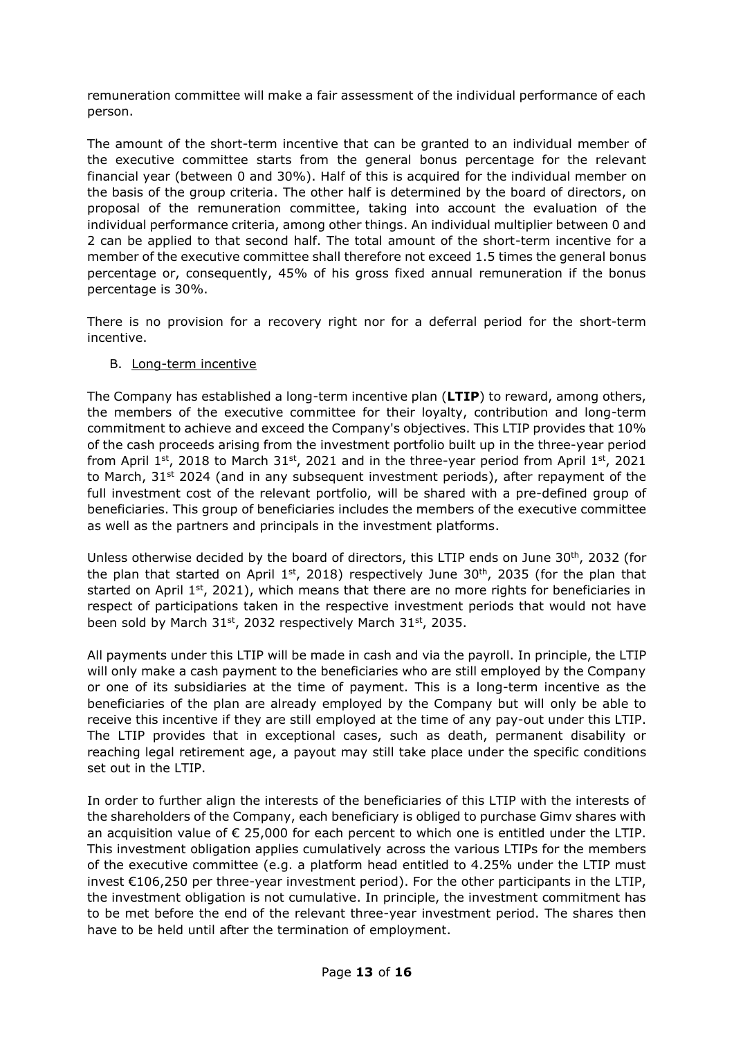remuneration committee will make a fair assessment of the individual performance of each person.

The amount of the short-term incentive that can be granted to an individual member of the executive committee starts from the general bonus percentage for the relevant financial year (between 0 and 30%). Half of this is acquired for the individual member on the basis of the group criteria. The other half is determined by the board of directors, on proposal of the remuneration committee, taking into account the evaluation of the individual performance criteria, among other things. An individual multiplier between 0 and 2 can be applied to that second half. The total amount of the short-term incentive for a member of the executive committee shall therefore not exceed 1.5 times the general bonus percentage or, consequently, 45% of his gross fixed annual remuneration if the bonus percentage is 30%.

There is no provision for a recovery right nor for a deferral period for the short-term incentive.

#### B. Long-term incentive

The Company has established a long-term incentive plan (**LTIP**) to reward, among others, the members of the executive committee for their loyalty, contribution and long-term commitment to achieve and exceed the Company's objectives. This LTIP provides that 10% of the cash proceeds arising from the investment portfolio built up in the three-year period from April 1<sup>st</sup>, 2018 to March 31<sup>st</sup>, 2021 and in the three-year period from April 1<sup>st</sup>, 2021 to March,  $31<sup>st</sup> 2024$  (and in any subsequent investment periods), after repayment of the full investment cost of the relevant portfolio, will be shared with a pre-defined group of beneficiaries. This group of beneficiaries includes the members of the executive committee as well as the partners and principals in the investment platforms.

Unless otherwise decided by the board of directors, this LTIP ends on June  $30<sup>th</sup>$ , 2032 (for the plan that started on April  $1<sup>st</sup>$ , 2018) respectively June 30<sup>th</sup>, 2035 (for the plan that started on April  $1^{st}$ , 2021), which means that there are no more rights for beneficiaries in respect of participations taken in the respective investment periods that would not have been sold by March 31<sup>st</sup>, 2032 respectively March 31<sup>st</sup>, 2035.

All payments under this LTIP will be made in cash and via the payroll. In principle, the LTIP will only make a cash payment to the beneficiaries who are still employed by the Company or one of its subsidiaries at the time of payment. This is a long-term incentive as the beneficiaries of the plan are already employed by the Company but will only be able to receive this incentive if they are still employed at the time of any pay-out under this LTIP. The LTIP provides that in exceptional cases, such as death, permanent disability or reaching legal retirement age, a payout may still take place under the specific conditions set out in the LTIP.

In order to further align the interests of the beneficiaries of this LTIP with the interests of the shareholders of the Company, each beneficiary is obliged to purchase Gimv shares with an acquisition value of  $\epsilon$  25,000 for each percent to which one is entitled under the LTIP. This investment obligation applies cumulatively across the various LTIPs for the members of the executive committee (e.g. a platform head entitled to 4.25% under the LTIP must invest €106,250 per three-year investment period). For the other participants in the LTIP, the investment obligation is not cumulative. In principle, the investment commitment has to be met before the end of the relevant three-year investment period. The shares then have to be held until after the termination of employment.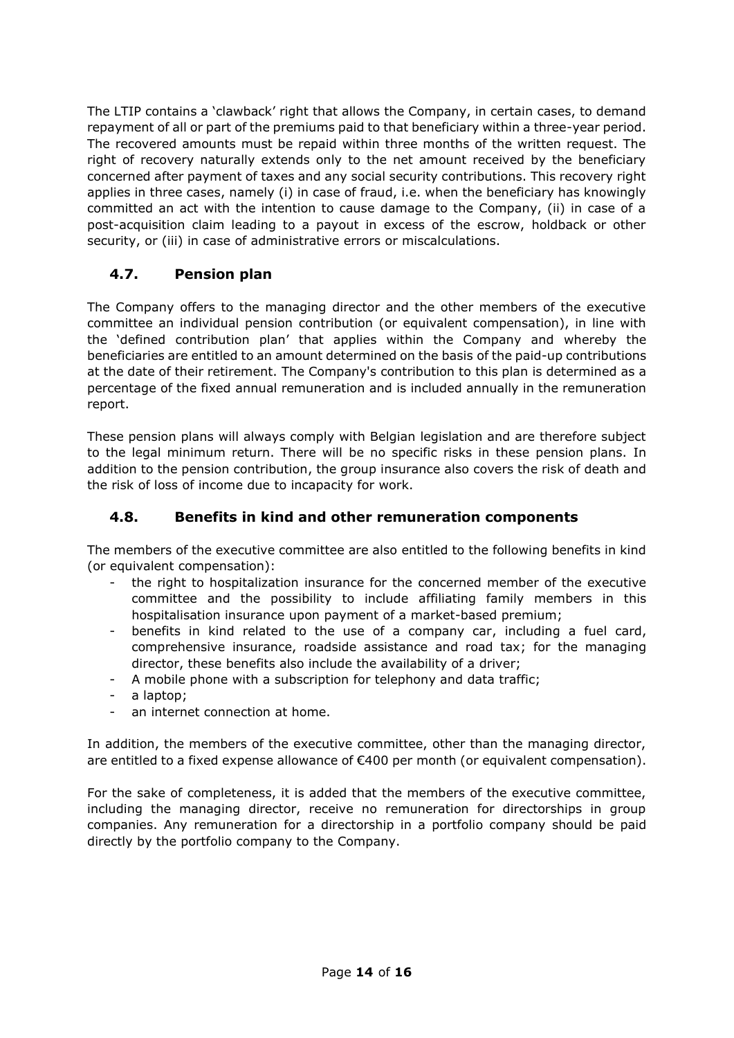The LTIP contains a 'clawback' right that allows the Company, in certain cases, to demand repayment of all or part of the premiums paid to that beneficiary within a three-year period. The recovered amounts must be repaid within three months of the written request. The right of recovery naturally extends only to the net amount received by the beneficiary concerned after payment of taxes and any social security contributions. This recovery right applies in three cases, namely (i) in case of fraud, i.e. when the beneficiary has knowingly committed an act with the intention to cause damage to the Company, (ii) in case of a post-acquisition claim leading to a payout in excess of the escrow, holdback or other security, or (iii) in case of administrative errors or miscalculations.

### <span id="page-13-0"></span>**4.7. Pension plan**

The Company offers to the managing director and the other members of the executive committee an individual pension contribution (or equivalent compensation), in line with the 'defined contribution plan' that applies within the Company and whereby the beneficiaries are entitled to an amount determined on the basis of the paid-up contributions at the date of their retirement. The Company's contribution to this plan is determined as a percentage of the fixed annual remuneration and is included annually in the remuneration report.

These pension plans will always comply with Belgian legislation and are therefore subject to the legal minimum return. There will be no specific risks in these pension plans. In addition to the pension contribution, the group insurance also covers the risk of death and the risk of loss of income due to incapacity for work.

### <span id="page-13-1"></span>**4.8. Benefits in kind and other remuneration components**

The members of the executive committee are also entitled to the following benefits in kind (or equivalent compensation):

- the right to hospitalization insurance for the concerned member of the executive committee and the possibility to include affiliating family members in this hospitalisation insurance upon payment of a market-based premium;
- benefits in kind related to the use of a company car, including a fuel card, comprehensive insurance, roadside assistance and road tax; for the managing director, these benefits also include the availability of a driver;
- A mobile phone with a subscription for telephony and data traffic;
- a laptop;
- an internet connection at home.

In addition, the members of the executive committee, other than the managing director, are entitled to a fixed expense allowance of €400 per month (or equivalent compensation).

For the sake of completeness, it is added that the members of the executive committee, including the managing director, receive no remuneration for directorships in group companies. Any remuneration for a directorship in a portfolio company should be paid directly by the portfolio company to the Company.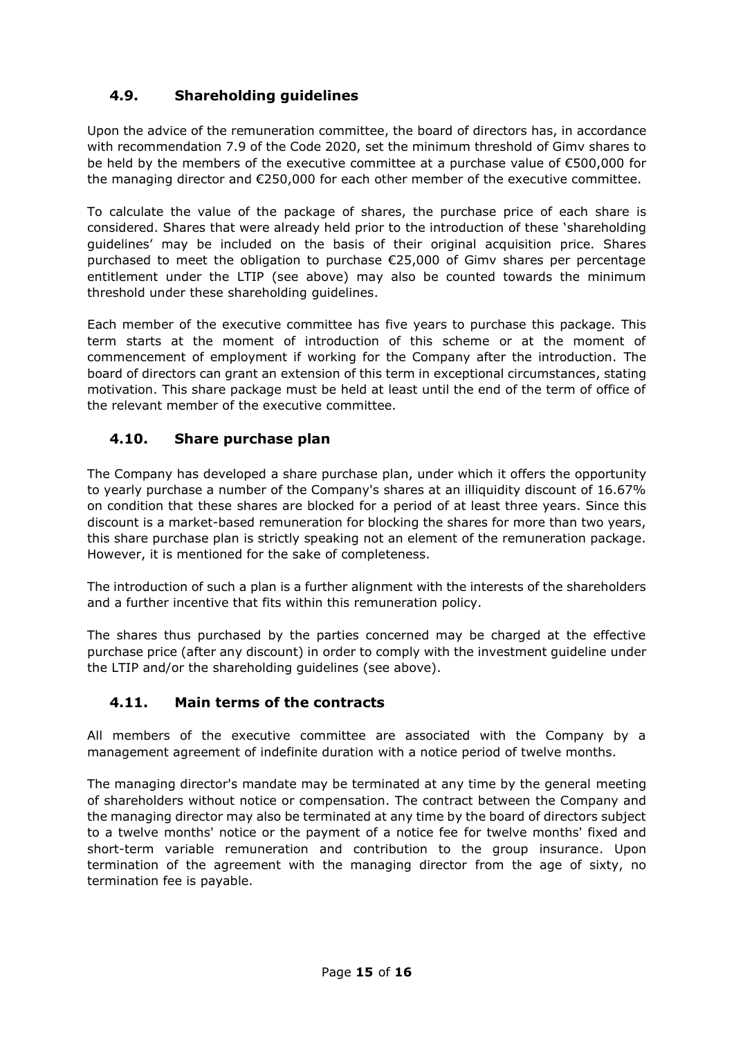## <span id="page-14-0"></span>**4.9. Shareholding guidelines**

Upon the advice of the remuneration committee, the board of directors has, in accordance with recommendation 7.9 of the Code 2020, set the minimum threshold of Gimv shares to be held by the members of the executive committee at a purchase value of €500,000 for the managing director and €250,000 for each other member of the executive committee.

To calculate the value of the package of shares, the purchase price of each share is considered. Shares that were already held prior to the introduction of these 'shareholding guidelines' may be included on the basis of their original acquisition price. Shares purchased to meet the obligation to purchase €25,000 of Gimv shares per percentage entitlement under the LTIP (see above) may also be counted towards the minimum threshold under these shareholding guidelines.

Each member of the executive committee has five years to purchase this package. This term starts at the moment of introduction of this scheme or at the moment of commencement of employment if working for the Company after the introduction. The board of directors can grant an extension of this term in exceptional circumstances, stating motivation. This share package must be held at least until the end of the term of office of the relevant member of the executive committee.

### <span id="page-14-1"></span>**4.10. Share purchase plan**

The Company has developed a share purchase plan, under which it offers the opportunity to yearly purchase a number of the Company's shares at an illiquidity discount of 16.67% on condition that these shares are blocked for a period of at least three years. Since this discount is a market-based remuneration for blocking the shares for more than two years, this share purchase plan is strictly speaking not an element of the remuneration package. However, it is mentioned for the sake of completeness.

The introduction of such a plan is a further alignment with the interests of the shareholders and a further incentive that fits within this remuneration policy.

The shares thus purchased by the parties concerned may be charged at the effective purchase price (after any discount) in order to comply with the investment guideline under the LTIP and/or the shareholding guidelines (see above).

#### <span id="page-14-2"></span>**4.11. Main terms of the contracts**

All members of the executive committee are associated with the Company by a management agreement of indefinite duration with a notice period of twelve months.

The managing director's mandate may be terminated at any time by the general meeting of shareholders without notice or compensation. The contract between the Company and the managing director may also be terminated at any time by the board of directors subject to a twelve months' notice or the payment of a notice fee for twelve months' fixed and short-term variable remuneration and contribution to the group insurance. Upon termination of the agreement with the managing director from the age of sixty, no termination fee is payable.